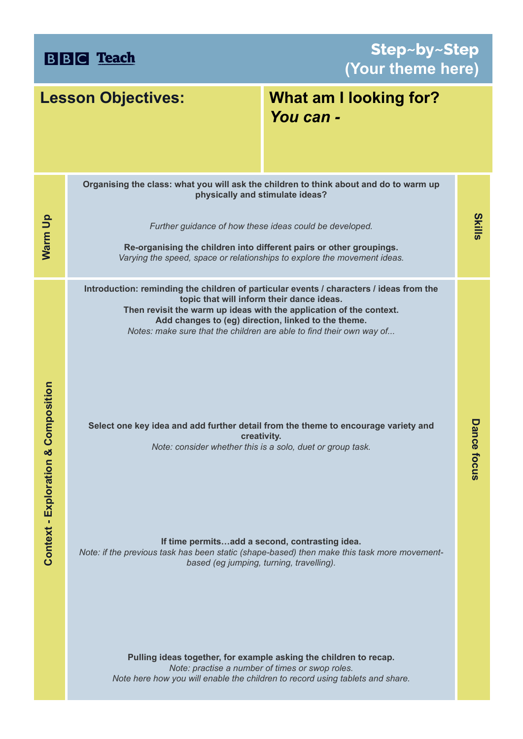**BBC** Teach

**Step~by~Step (Your theme here)**

| <b>Lesson Objectives:</b>                |                                                                                                                                                                                                                                                                                                                                            | What am I looking for?<br>You can - |                    |
|------------------------------------------|--------------------------------------------------------------------------------------------------------------------------------------------------------------------------------------------------------------------------------------------------------------------------------------------------------------------------------------------|-------------------------------------|--------------------|
|                                          | Organising the class: what you will ask the children to think about and do to warm up<br>physically and stimulate ideas?                                                                                                                                                                                                                   |                                     |                    |
| Warm Up                                  | Further guidance of how these ideas could be developed.<br>Re-organising the children into different pairs or other groupings.<br>Varying the speed, space or relationships to explore the movement ideas.                                                                                                                                 |                                     | <b>Skills</b>      |
|                                          | Introduction: reminding the children of particular events / characters / ideas from the<br>topic that will inform their dance ideas.<br>Then revisit the warm up ideas with the application of the context.<br>Add changes to (eg) direction, linked to the theme.<br>Notes: make sure that the children are able to find their own way of |                                     |                    |
| ation & Composition<br>Context - Explora | Select one key idea and add further detail from the theme to encourage variety and<br>creativity.<br>Note: consider whether this is a solo, duet or group task.                                                                                                                                                                            |                                     | <b>Dance focus</b> |
|                                          | If time permitsadd a second, contrasting idea.<br>Note: if the previous task has been static (shape-based) then make this task more movement-<br>based (eg jumping, turning, travelling).<br>Pulling ideas together, for example asking the children to recap.                                                                             |                                     |                    |
|                                          | Note: practise a number of times or swop roles.<br>Note here how you will enable the children to record using tablets and share.                                                                                                                                                                                                           |                                     |                    |